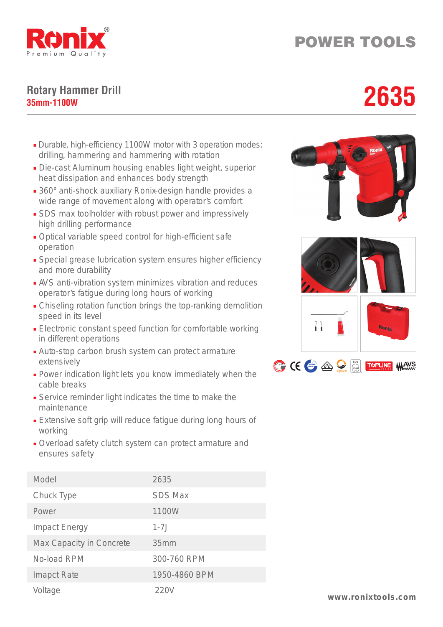

## POWER TOOLS

## **Rotary Hammer Drill** Rotary Hammer Drill<br>35mm-1100W<br>**2635**

- Durable, high-efficiency 1100W motor with 3 operation modes: drilling, hammering and hammering with rotation
- Die-cast Aluminum housing enables light weight, superior heat dissipation and enhances body strength
- 360° anti-shock auxiliary Ronix-design handle provides a wide range of movement along with operator's comfort
- SDS max toolholder with robust power and impressively high drilling performance
- Optical variable speed control for high-efficient safe operation
- Special grease lubrication system ensures higher efficiency and more durability
- AVS anti-vibration system minimizes vibration and reduces operator's fatigue during long hours of working
- Chiseling rotation function brings the top-ranking demolition speed in its level
- Electronic constant speed function for comfortable working in different operations
- Auto-stop carbon brush system can protect armature extensively
- Power indication light lets you know immediately when the cable breaks
- Service reminder light indicates the time to make the maintenance
- Extensive soft grip will reduce fatigue during long hours of working
- Overload safety clutch system can protect armature and ensures safety

| Model                    | 2635           |
|--------------------------|----------------|
| Chuck Type               | <b>SDS Max</b> |
| Power                    | 1100W          |
| <b>Impact Energy</b>     | $1 - 7.$       |
| Max Capacity in Concrete | 35mm           |
| No-load RPM              | 300-760 RPM    |
| <b>Imapct Rate</b>       | 1950-4860 BPM  |
| Voltage                  | 220V           |